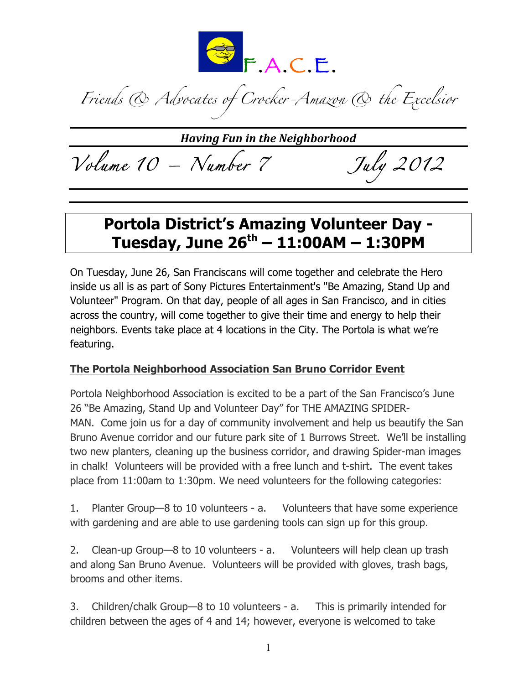

*Friends & Advocates of Crocker-Amazon & the Excelsior*

**Having Fun in the Neighborhood** 

*Volume 10 – Number 7 July 2012* 

### **Portola District's Amazing Volunteer Day - Tuesday, June 26th – 11:00AM – 1:30PM**

On Tuesday, June 26, San Franciscans will come together and celebrate the Hero inside us all is as part of Sony Pictures Entertainment's "Be Amazing, Stand Up and Volunteer" Program. On that day, people of all ages in San Francisco, and in cities across the country, will come together to give their time and energy to help their neighbors. Events take place at 4 locations in the City. The Portola is what we're featuring.

#### **The Portola Neighborhood Association San Bruno Corridor Event**

Portola Neighborhood Association is excited to be a part of the San Francisco's June 26 "Be Amazing, Stand Up and Volunteer Day" for THE AMAZING SPIDER-MAN. Come join us for a day of community involvement and help us beautify the San Bruno Avenue corridor and our future park site of 1 Burrows Street. We'll be installing two new planters, cleaning up the business corridor, and drawing Spider-man images in chalk! Volunteers will be provided with a free lunch and t-shirt. The event takes place from 11:00am to 1:30pm. We need volunteers for the following categories:

1. Planter Group—8 to 10 volunteers - a. Volunteers that have some experience with gardening and are able to use gardening tools can sign up for this group.

2. Clean-up Group—8 to 10 volunteers - a. Volunteers will help clean up trash and along San Bruno Avenue. Volunteers will be provided with gloves, trash bags, brooms and other items.

3. Children/chalk Group—8 to 10 volunteers - a. This is primarily intended for children between the ages of 4 and 14; however, everyone is welcomed to take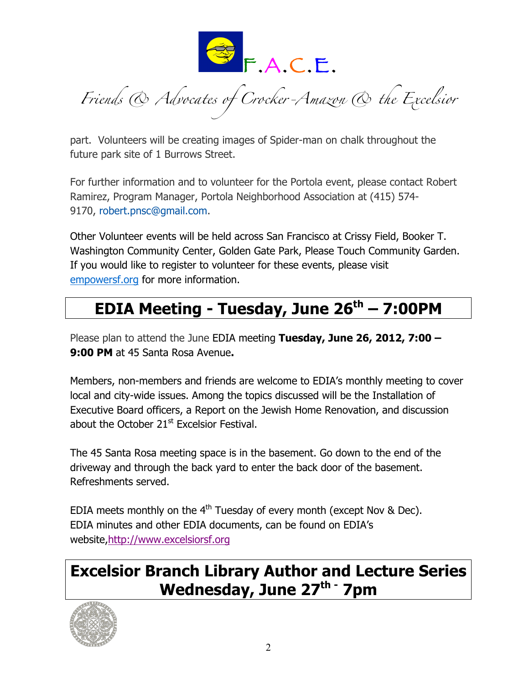

*Friends & Advocates of Crocker-Amazon & the Excelsior*

part. Volunteers will be creating images of Spider-man on chalk throughout the future park site of 1 Burrows Street.

For further information and to volunteer for the Portola event, please contact Robert Ramirez, Program Manager, Portola Neighborhood Association at (415) 574- 9170, robert.pnsc@gmail.com.

Other Volunteer events will be held across San Francisco at Crissy Field, Booker T. Washington Community Center, Golden Gate Park, Please Touch Community Garden. If you would like to register to volunteer for these events, please visit empowersf.org for more information.

# **EDIA Meeting - Tuesday, June 26th – 7:00PM**

Please plan to attend the June EDIA meeting **Tuesday, June 26, 2012, 7:00 – 9:00 PM** at 45 Santa Rosa Avenue**.**

Members, non-members and friends are welcome to EDIA's monthly meeting to cover local and city-wide issues. Among the topics discussed will be the Installation of Executive Board officers, a Report on the Jewish Home Renovation, and discussion about the October  $21<sup>st</sup>$  Excelsior Festival.

The 45 Santa Rosa meeting space is in the basement. Go down to the end of the driveway and through the back yard to enter the back door of the basement. Refreshments served.

EDIA meets monthly on the  $4<sup>th</sup>$  Tuesday of every month (except Nov & Dec). EDIA minutes and other EDIA documents, can be found on EDIA's website,http://www.excelsiorsf.org

## **Excelsior Branch Library Author and Lecture Series Wednesday, June 27th - 7pm**

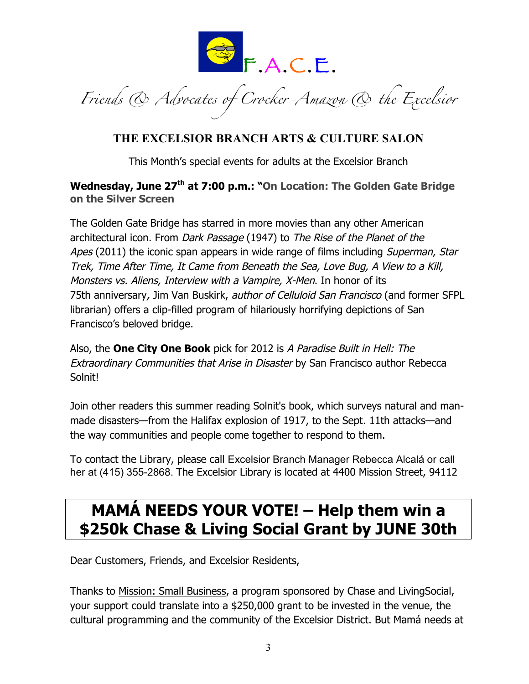

*Friends & Advocates of Crocker-Amazon & the Excelsior*

#### **THE EXCELSIOR BRANCH ARTS & CULTURE SALON**

This Month's special events for adults at the Excelsior Branch

#### **Wednesday, June 27th at 7:00 p.m.: "On Location: The Golden Gate Bridge on the Silver Screen**

The Golden Gate Bridge has starred in more movies than any other American architectural icon. From Dark Passage (1947) to The Rise of the Planet of the Apes (2011) the iconic span appears in wide range of films including Superman, Star Trek, Time After Time, It Came from Beneath the Sea, Love Bug, A View to a Kill, Monsters vs. Aliens, Interview with a Vampire, X-Men. In honor of its 75th anniversary, Jim Van Buskirk, *author of Celluloid San Francisco* (and former SFPL librarian) offers a clip-filled program of hilariously horrifying depictions of San Francisco's beloved bridge.

Also, the **One City One Book** pick for 2012 is A Paradise Built in Hell: The Extraordinary Communities that Arise in Disaster by San Francisco author Rebecca Solnit!

Join other readers this summer reading Solnit's book, which surveys natural and manmade disasters—from the Halifax explosion of 1917, to the Sept. 11th attacks—and the way communities and people come together to respond to them.

To contact the Library, please call Excelsior Branch Manager Rebecca Alcalá or call her at (415) 355-2868. The Excelsior Library is located at 4400 Mission Street, 94112

## **MAMÁ NEEDS YOUR VOTE! – Help them win a \$250k Chase & Living Social Grant by JUNE 30th**

Dear Customers, Friends, and Excelsior Residents,

Thanks to Mission: Small Business, a program sponsored by Chase and LivingSocial, your support could translate into a \$250,000 grant to be invested in the venue, the cultural programming and the community of the Excelsior District. But Mamá needs at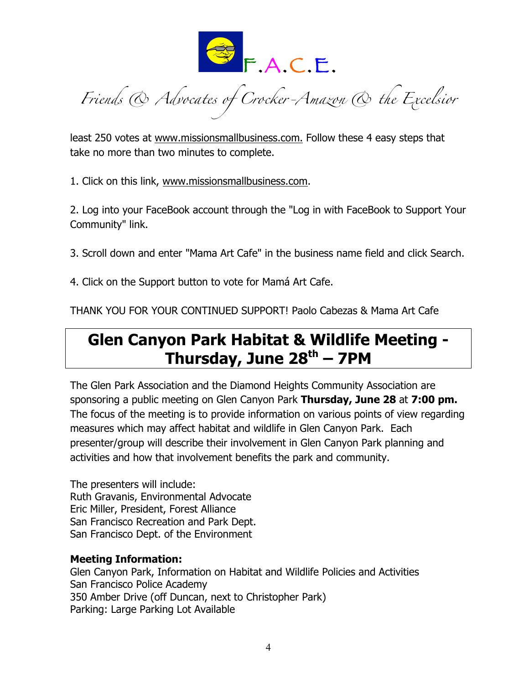

*Friends & Advocates of Crocker-Amazon & the Excelsior*

least 250 votes at www.missionsmallbusiness.com. Follow these 4 easy steps that take no more than two minutes to complete.

1. Click on this link, www.missionsmallbusiness.com.

2. Log into your FaceBook account through the "Log in with FaceBook to Support Your Community" link.

3. Scroll down and enter "Mama Art Cafe" in the business name field and click Search.

4. Click on the Support button to vote for Mamá Art Cafe.

THANK YOU FOR YOUR CONTINUED SUPPORT! Paolo Cabezas & Mama Art Cafe

### **Glen Canyon Park Habitat & Wildlife Meeting - Thursday, June 28th – 7PM**

The Glen Park Association and the Diamond Heights Community Association are sponsoring a public meeting on Glen Canyon Park **Thursday, June 28** at **7:00 pm.** The focus of the meeting is to provide information on various points of view regarding measures which may affect habitat and wildlife in Glen Canyon Park. Each presenter/group will describe their involvement in Glen Canyon Park planning and activities and how that involvement benefits the park and community.

The presenters will include: Ruth Gravanis, Environmental Advocate Eric Miller, President, Forest Alliance San Francisco Recreation and Park Dept. San Francisco Dept. of the Environment

#### **Meeting Information:**

Glen Canyon Park, Information on Habitat and Wildlife Policies and Activities San Francisco Police Academy 350 Amber Drive (off Duncan, next to Christopher Park) Parking: Large Parking Lot Available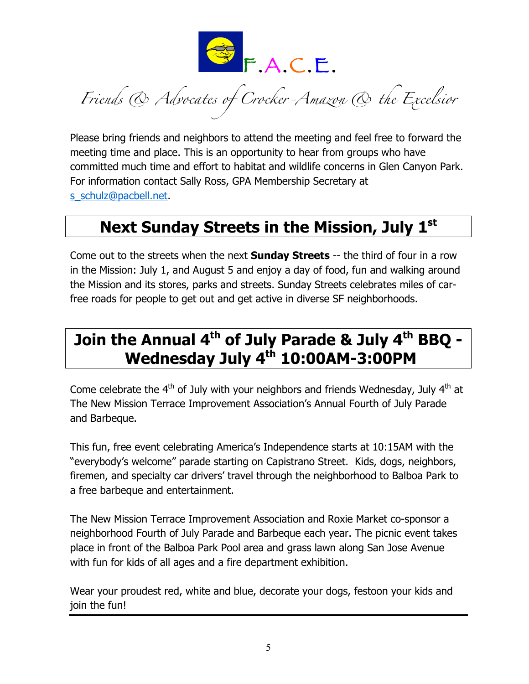

*Friends & Advocates of Crocker-Amazon & the Excelsior*

Please bring friends and neighbors to attend the meeting and feel free to forward the meeting time and place. This is an opportunity to hear from groups who have committed much time and effort to habitat and wildlife concerns in Glen Canyon Park. For information contact Sally Ross, GPA Membership Secretary at s\_schulz@pacbell.net

### **Next Sunday Streets in the Mission, July 1st**

Come out to the streets when the next **Sunday Streets** -- the third of four in a row in the Mission: July 1, and August 5 and enjoy a day of food, fun and walking around the Mission and its stores, parks and streets. Sunday Streets celebrates miles of carfree roads for people to get out and get active in diverse SF neighborhoods.

# **Join the Annual 4th of July Parade & July 4th BBQ - Wednesday July 4th 10:00AM-3:00PM**

Come celebrate the  $4<sup>th</sup>$  of July with your neighbors and friends Wednesday, July  $4<sup>th</sup>$  at The New Mission Terrace Improvement Association's Annual Fourth of July Parade and Barbeque.

This fun, free event celebrating America's Independence starts at 10:15AM with the "everybody's welcome" parade starting on Capistrano Street. Kids, dogs, neighbors, firemen, and specialty car drivers' travel through the neighborhood to Balboa Park to a free barbeque and entertainment.

The New Mission Terrace Improvement Association and Roxie Market co-sponsor a neighborhood Fourth of July Parade and Barbeque each year. The picnic event takes place in front of the Balboa Park Pool area and grass lawn along San Jose Avenue with fun for kids of all ages and a fire department exhibition.

Wear your proudest red, white and blue, decorate your dogs, festoon your kids and join the fun!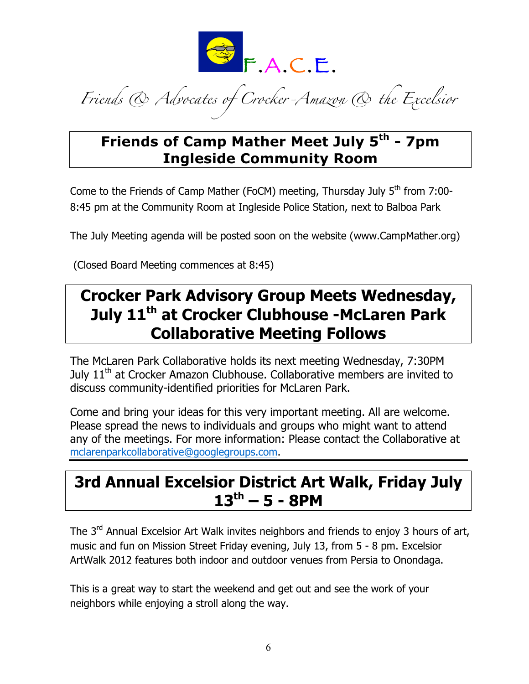

*Friends & Advocates of Crocker-Amazon & the Excelsior*

#### **Friends of Camp Mather Meet July 5th - 7pm Ingleside Community Room**

Come to the Friends of Camp Mather (FoCM) meeting, Thursday July 5<sup>th</sup> from 7:00-8:45 pm at the Community Room at Ingleside Police Station, next to Balboa Park

The July Meeting agenda will be posted soon on the website (www.CampMather.org)

(Closed Board Meeting commences at 8:45)

### **Crocker Park Advisory Group Meets Wednesday, July 11th at Crocker Clubhouse -McLaren Park Collaborative Meeting Follows**

The McLaren Park Collaborative holds its next meeting Wednesday, 7:30PM July 11<sup>th</sup> at Crocker Amazon Clubhouse. Collaborative members are invited to discuss community-identified priorities for McLaren Park.

Come and bring your ideas for this very important meeting. All are welcome. Please spread the news to individuals and groups who might want to attend any of the meetings. For more information: Please contact the Collaborative at mclarenparkcollaborative@googlegroups.com.

### **3rd Annual Excelsior District Art Walk, Friday July 13th – 5 - 8PM**

The 3<sup>rd</sup> Annual Excelsior Art Walk invites neighbors and friends to enjoy 3 hours of art, music and fun on Mission Street Friday evening, July 13, from 5 - 8 pm. Excelsior ArtWalk 2012 features both indoor and outdoor venues from Persia to Onondaga.

This is a great way to start the weekend and get out and see the work of your neighbors while enjoying a stroll along the way.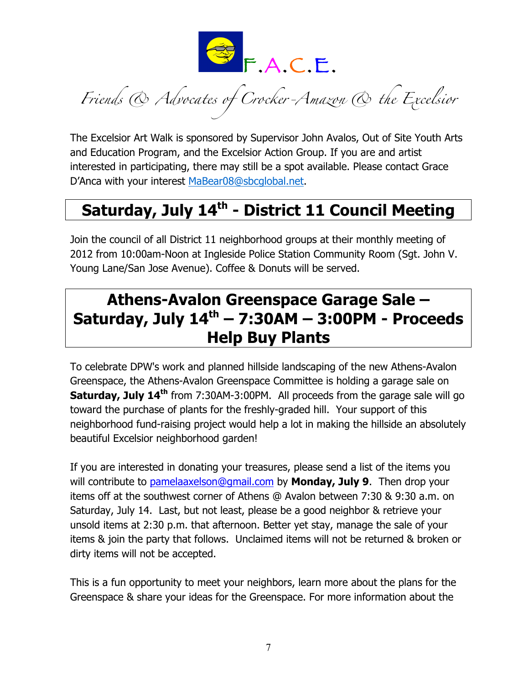

*Friends & Advocates of Crocker-Amazon & the Excelsior*

The Excelsior Art Walk is sponsored by Supervisor John Avalos, Out of Site Youth Arts and Education Program, and the Excelsior Action Group. If you are and artist interested in participating, there may still be a spot available. Please contact Grace D'Anca with your interest MaBear08@sbcglobal.net.

# **Saturday, July 14th - District 11 Council Meeting**

Join the council of all District 11 neighborhood groups at their monthly meeting of 2012 from 10:00am-Noon at Ingleside Police Station Community Room (Sgt. John V. Young Lane/San Jose Avenue). Coffee & Donuts will be served.

### **Athens-Avalon Greenspace Garage Sale – Saturday, July 14th – 7:30AM – 3:00PM - Proceeds Help Buy Plants**

To celebrate DPW's work and planned hillside landscaping of the new Athens-Avalon Greenspace, the Athens-Avalon Greenspace Committee is holding a garage sale on **Saturday, July 14<sup>th</sup>** from 7:30AM-3:00PM. All proceeds from the garage sale will go toward the purchase of plants for the freshly-graded hill. Your support of this neighborhood fund-raising project would help a lot in making the hillside an absolutely beautiful Excelsior neighborhood garden!

If you are interested in donating your treasures, please send a list of the items you will contribute to pamelaaxelson@gmail.com by **Monday, July 9**. Then drop your items off at the southwest corner of Athens @ Avalon between 7:30 & 9:30 a.m. on Saturday, July 14. Last, but not least, please be a good neighbor & retrieve your unsold items at 2:30 p.m. that afternoon. Better yet stay, manage the sale of your items & join the party that follows. Unclaimed items will not be returned & broken or dirty items will not be accepted.

This is a fun opportunity to meet your neighbors, learn more about the plans for the Greenspace & share your ideas for the Greenspace. For more information about the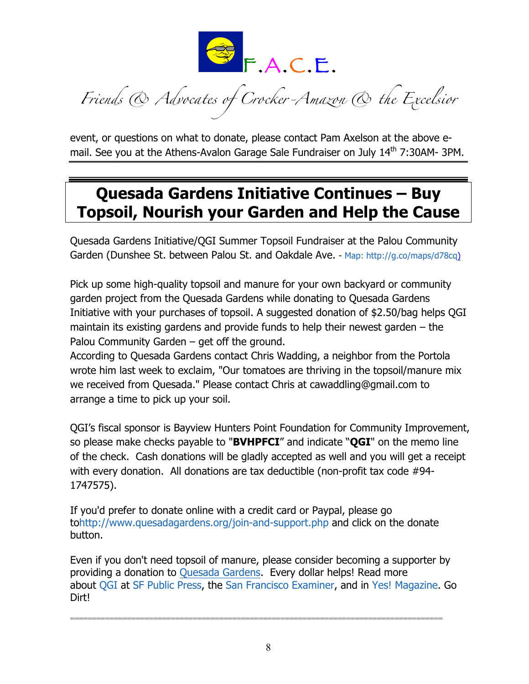

*Friends & Advocates of Crocker-Amazon & the Excelsior*

event, or questions on what to donate, please contact Pam Axelson at the above email. See you at the Athens-Avalon Garage Sale Fundraiser on July  $14<sup>th</sup>$  7:30AM- 3PM.

## **Quesada Gardens Initiative Continues – Buy Topsoil, Nourish your Garden and Help the Cause**

Quesada Gardens Initiative/QGI Summer Topsoil Fundraiser at the Palou Community Garden (Dunshee St. between Palou St. and Oakdale Ave. - Map: http://g.co/maps/d78cq)

Pick up some high-quality topsoil and manure for your own backyard or community garden project from the Quesada Gardens while donating to Quesada Gardens Initiative with your purchases of topsoil. A suggested donation of \$2.50/bag helps QGI maintain its existing gardens and provide funds to help their newest garden – the Palou Community Garden – get off the ground.

According to Quesada Gardens contact Chris Wadding, a neighbor from the Portola wrote him last week to exclaim, "Our tomatoes are thriving in the topsoil/manure mix we received from Quesada." Please contact Chris at cawaddling@gmail.com to arrange a time to pick up your soil.

QGI's fiscal sponsor is Bayview Hunters Point Foundation for Community Improvement, so please make checks payable to "**BVHPFCI**" and indicate "**QGI**" on the memo line of the check. Cash donations will be gladly accepted as well and you will get a receipt with every donation. All donations are tax deductible (non-profit tax code #94- 1747575).

If you'd prefer to donate online with a credit card or Paypal, please go tohttp://www.quesadagardens.org/join-and-support.php and click on the donate button.

Even if you don't need topsoil of manure, please consider becoming a supporter by providing a donation to Quesada Gardens. Every dollar helps! Read more about QGI at SF Public Press, the San Francisco Examiner, and in Yes! Magazine. Go Dirt!

=====================================================================================